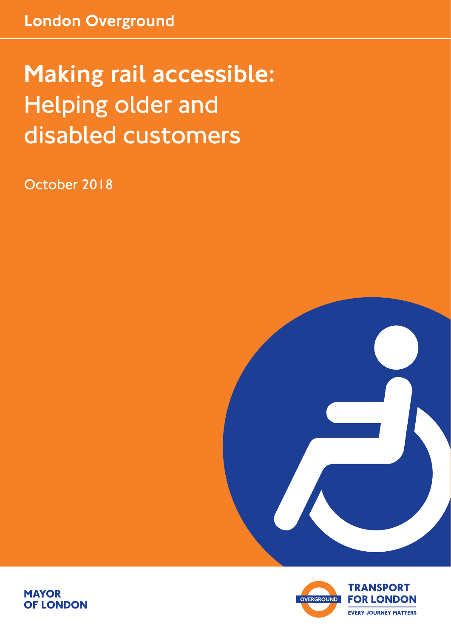# Making rail accessible: Helping older and disabled customers

October 2018





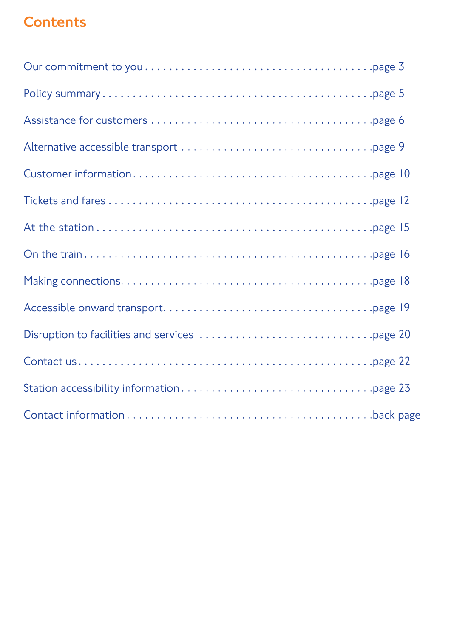## **Contents**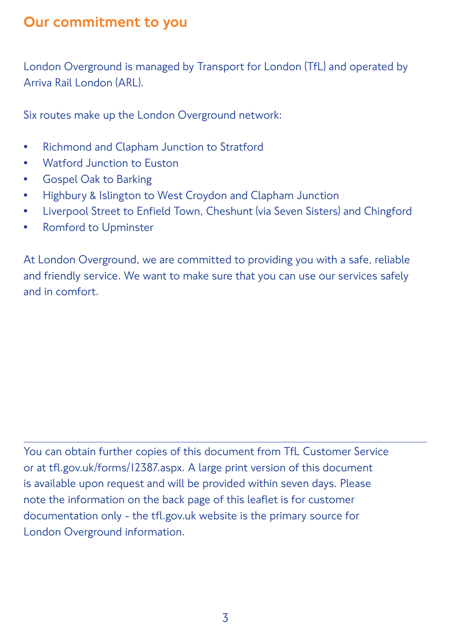#### Our commitment to you

London Overground is managed by Transport for London (TfL) and operated by Arriva Rail London (ARL).

Six routes make up the London Overground network:

- Richmond and Clapham Junction to Stratford
- Watford Junction to Euston
- Gospel Oak to Barking
- Highbury & Islington to West Croydon and Clapham Junction
- Liverpool Street to Enfield Town, Cheshunt (via Seven Sisters) and Chingford
- Romford to Upminster

At London Overground, we are committed to providing you with a safe, reliable and friendly service. We want to make sure that you can use our services safely and in comfort.

You can obtain further copies of this document from TfL Customer Service or at tfl.gov.uk/forms/12387.aspx. A large print version of this document is available upon request and will be provided within seven days. Please note the information on the back page of this leaflet is for customer documentation only - the tfl.gov.uk website is the primary source for London Overground information.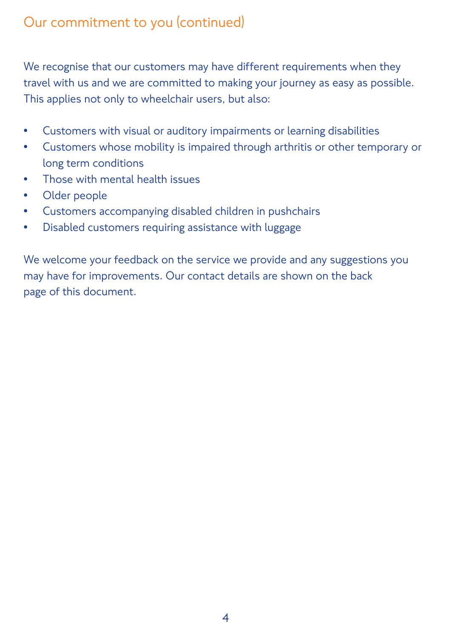## Our commitment to you (continued)

We recognise that our customers may have different requirements when they travel with us and we are committed to making your journey as easy as possible. This applies not only to wheelchair users, but also:

- Customers with visual or auditory impairments or learning disabilities
- Customers whose mobility is impaired through arthritis or other temporary or long term conditions
- Those with mental health issues
- Older people
- Customers accompanying disabled children in pushchairs
- Disabled customers requiring assistance with luggage

We welcome your feedback on the service we provide and any suggestions you may have for improvements. Our contact details are shown on the back page of this document.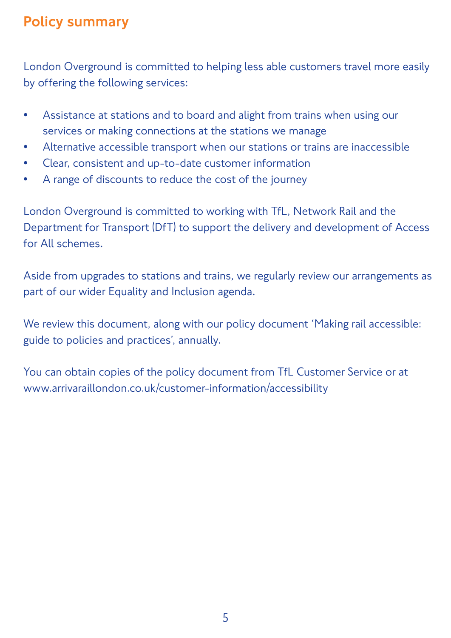#### Policy summary

London Overground is committed to helping less able customers travel more easily by offering the following services:

- Assistance at stations and to board and alight from trains when using our services or making connections at the stations we manage
- Alternative accessible transport when our stations or trains are inaccessible
- Clear, consistent and up-to-date customer information
- A range of discounts to reduce the cost of the journey

London Overground is committed to working with TfL, Network Rail and the Department for Transport (DfT) to support the delivery and development of Access for All schemes.

Aside from upgrades to stations and trains, we regularly review our arrangements as part of our wider Equality and Inclusion agenda.

We review this document, along with our policy document 'Making rail accessible: guide to policies and practices', annually.

You can obtain copies of the policy document from TfL Customer Service or at www.arrivaraillondon.co.uk/customer-information/accessibility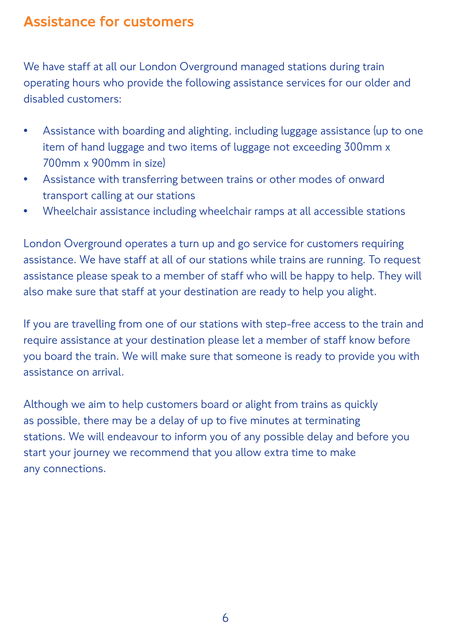#### Assistance for customers

We have staff at all our London Overground managed stations during train operating hours who provide the following assistance services for our older and disabled customers:

- Assistance with boarding and alighting, including luggage assistance (up to one item of hand luggage and two items of luggage not exceeding 300mm x 700mm x 900mm in size)
- Assistance with transferring between trains or other modes of onward transport calling at our stations
- Wheelchair assistance including wheelchair ramps at all accessible stations

London Overground operates a turn up and go service for customers requiring assistance. We have staff at all of our stations while trains are running. To request assistance please speak to a member of staff who will be happy to help. They will also make sure that staff at your destination are ready to help you alight.

If you are travelling from one of our stations with step-free access to the train and require assistance at your destination please let a member of staff know before you board the train. We will make sure that someone is ready to provide you with assistance on arrival.

Although we aim to help customers board or alight from trains as quickly as possible, there may be a delay of up to five minutes at terminating stations. We will endeavour to inform you of any possible delay and before you start your journey we recommend that you allow extra time to make any connections.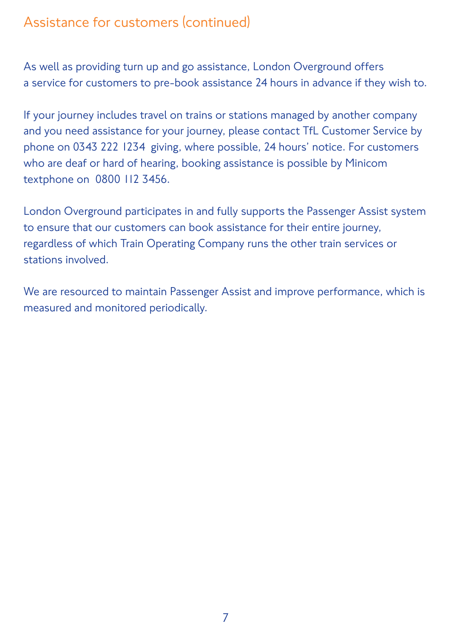## Assistance for customers (continued)

As well as providing turn up and go assistance, London Overground offers a service for customers to pre-book assistance 24 hours in advance if they wish to.

If your journey includes travel on trains or stations managed by another company and you need assistance for your journey, please contact TfL Customer Service by phone on 0343 222 1234 giving, where possible, 24 hours' notice. For customers who are deaf or hard of hearing, booking assistance is possible by Minicom textphone on 0800 112 3456.

London Overground participates in and fully supports the Passenger Assist system to ensure that our customers can book assistance for their entire journey, regardless of which Train Operating Company runs the other train services or stations involved.

We are resourced to maintain Passenger Assist and improve performance, which is measured and monitored periodically.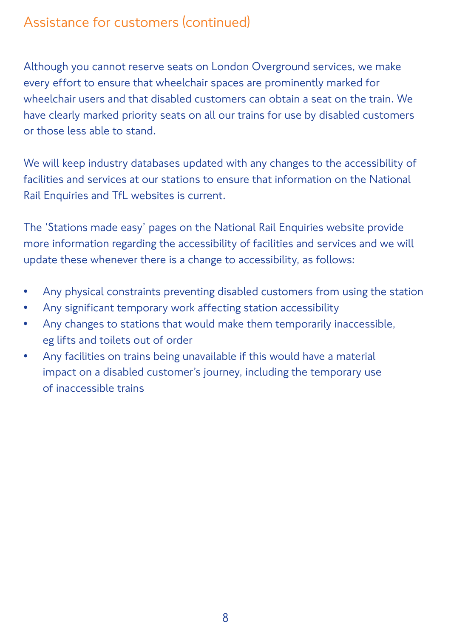## Assistance for customers (continued)

Although you cannot reserve seats on London Overground services, we make every effort to ensure that wheelchair spaces are prominently marked for wheelchair users and that disabled customers can obtain a seat on the train. We have clearly marked priority seats on all our trains for use by disabled customers or those less able to stand.

We will keep industry databases updated with any changes to the accessibility of facilities and services at our stations to ensure that information on the National Rail Enquiries and TfL websites is current.

The 'Stations made easy' pages on the National Rail Enquiries website provide more information regarding the accessibility of facilities and services and we will update these whenever there is a change to accessibility, as follows:

- Any physical constraints preventing disabled customers from using the station
- Any significant temporary work affecting station accessibility
- Any changes to stations that would make them temporarily inaccessible, eg lifts and toilets out of order
- Any facilities on trains being unavailable if this would have a material impact on a disabled customer's journey, including the temporary use of inaccessible trains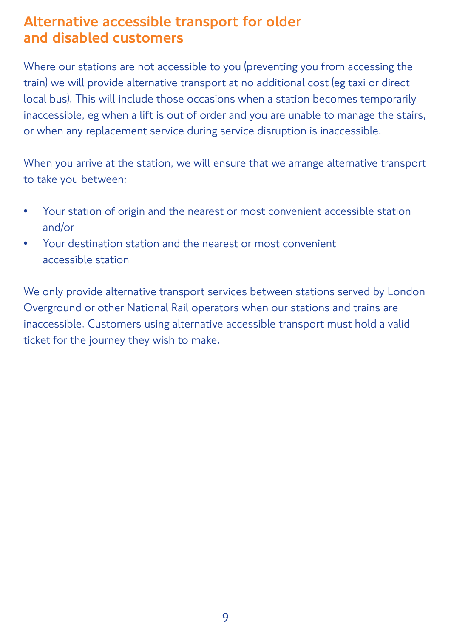#### Alternative accessible transport for older and disabled customers

Where our stations are not accessible to you (preventing you from accessing the train) we will provide alternative transport at no additional cost (eg taxi or direct local bus). This will include those occasions when a station becomes temporarily inaccessible, eg when a lift is out of order and you are unable to manage the stairs, or when any replacement service during service disruption is inaccessible.

When you arrive at the station, we will ensure that we arrange alternative transport to take you between:

- Your station of origin and the nearest or most convenient accessible station and/or
- Your destination station and the nearest or most convenient accessible station

We only provide alternative transport services between stations served by London Overground or other National Rail operators when our stations and trains are inaccessible. Customers using alternative accessible transport must hold a valid ticket for the journey they wish to make.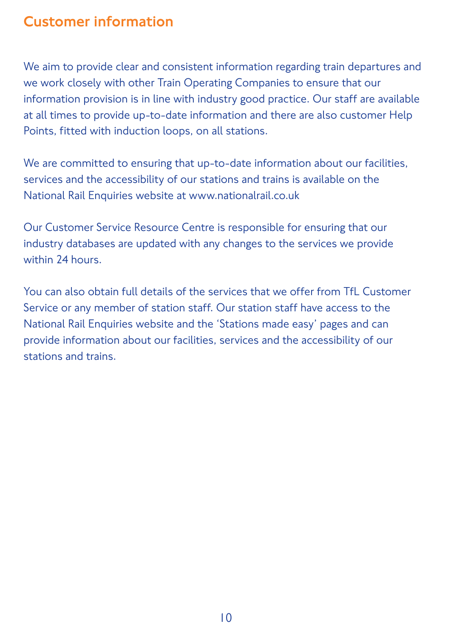#### Customer information

We aim to provide clear and consistent information regarding train departures and we work closely with other Train Operating Companies to ensure that our information provision is in line with industry good practice. Our staff are available at all times to provide up-to-date information and there are also customer Help Points, fitted with induction loops, on all stations.

We are committed to ensuring that up-to-date information about our facilities, services and the accessibility of our stations and trains is available on the National Rail Enquiries website at www.nationalrail.co.uk

Our Customer Service Resource Centre is responsible for ensuring that our industry databases are updated with any changes to the services we provide within 24 hours.

You can also obtain full details of the services that we offer from TfL Customer Service or any member of station staff. Our station staff have access to the National Rail Enquiries website and the 'Stations made easy' pages and can provide information about our facilities, services and the accessibility of our stations and trains.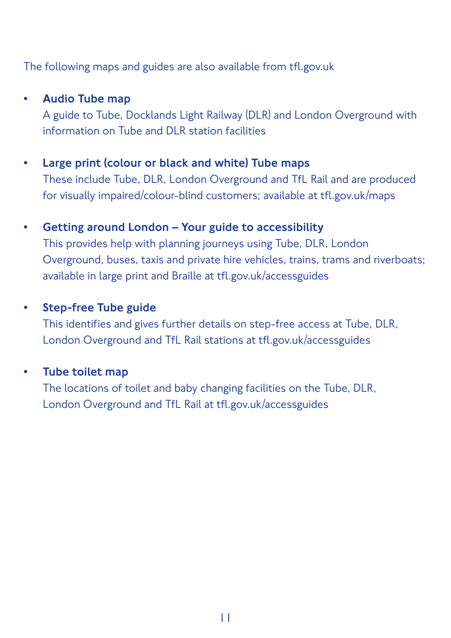The following maps and guides are also available from tfl.gov.uk

#### • Audio Tube map

A guide to Tube, Docklands Light Railway (DLR) and London Overground with information on Tube and DLR station facilities

#### • Large print (colour or black and white) Tube maps

These include Tube, DLR, London Overground and TfL Rail and are produced for visually impaired/colour-blind customers; available at tfl.gov.uk/maps

#### • Getting around London – Your guide to accessibility

This provides help with planning journeys using Tube, DLR, London Overground, buses, taxis and private hire vehicles, trains, trams and riverboats; available in large print and Braille at tfl.gov.uk/accessguides

#### • Step-free Tube guide

This identifies and gives further details on step-free access at Tube, DLR, London Overground and TfL Rail stations at tfl.gov.uk/accessguides

#### Tube toilet map

The locations of toilet and baby changing facilities on the Tube, DLR, London Overground and TfL Rail at tfl.gov.uk/accessguides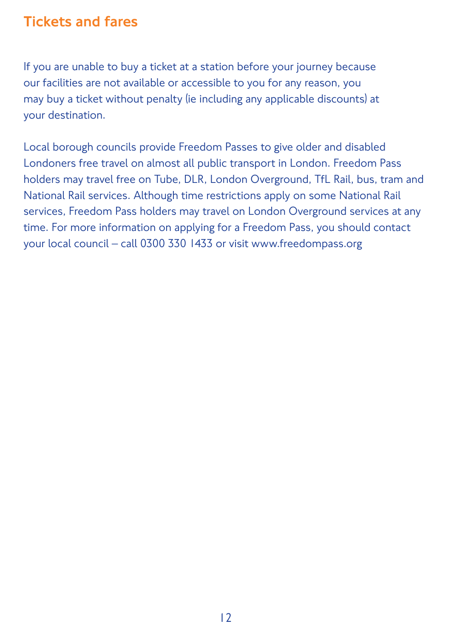#### Tickets and fares

If you are unable to buy a ticket at a station before your journey because our facilities are not available or accessible to you for any reason, you may buy a ticket without penalty (ie including any applicable discounts) at your destination.

Local borough councils provide Freedom Passes to give older and disabled Londoners free travel on almost all public transport in London. Freedom Pass holders may travel free on Tube, DLR, London Overground, TfL Rail, bus, tram and National Rail services. Although time restrictions apply on some National Rail services, Freedom Pass holders may travel on London Overground services at any time. For more information on applying for a Freedom Pass, you should contact your local council – call 0300 330 1433 or visit www.freedompass.org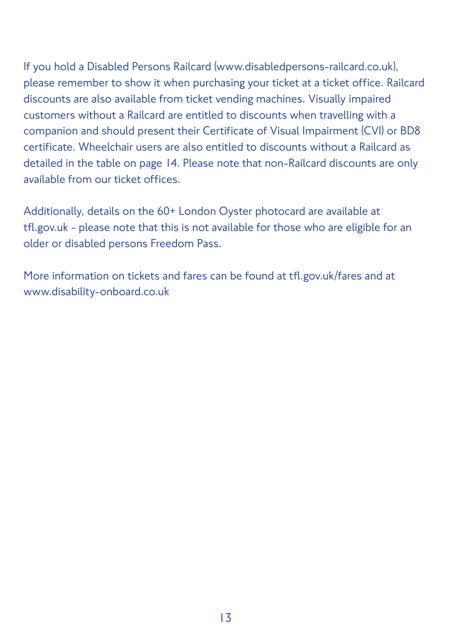If you hold a Disabled Persons Railcard (www.disabledpersons-railcard.co.uk), please remember to show it when purchasing your ticket at a ticket office. Railcard discounts are also available from ticket vending machines. Visually impaired customers without a Railcard are entitled to discounts when travelling with a companion and should present their Certificate of Visual Impairment (CVI) or BD8 certificate. Wheelchair users are also entitled to discounts without a Railcard as detailed in the table on page 14. Please note that non-Railcard discounts are only available from our ticket offices.

Additionally, details on the 60+ London Oyster photocard are available at tfl.gov.uk - please note that this is not available for those who are eligible for an older or disabled persons Freedom Pass.

More information on tickets and fares can be found at tfl.gov.uk/fares and at www.disability-onboard.co.uk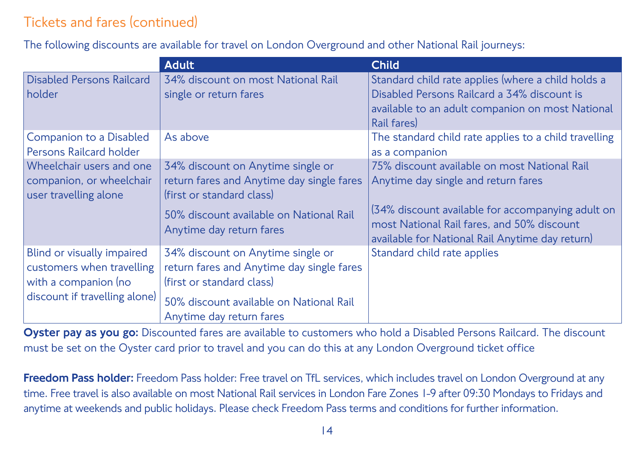## Tickets and fares (continued)

The following discounts are available for travel on London Overground and other National Rail journeys:

|                                                                                                                  | <b>Adult</b>                                                                                                                                                                       | <b>Child</b>                                                                                                                                                                                                                              |
|------------------------------------------------------------------------------------------------------------------|------------------------------------------------------------------------------------------------------------------------------------------------------------------------------------|-------------------------------------------------------------------------------------------------------------------------------------------------------------------------------------------------------------------------------------------|
| <b>Disabled Persons Railcard</b><br>holder                                                                       | 34% discount on most National Rail<br>single or return fares                                                                                                                       | Standard child rate applies (where a child holds a<br>Disabled Persons Railcard a 34% discount is<br>available to an adult companion on most National<br>Rail fares)                                                                      |
| Companion to a Disabled<br>Persons Railcard holder                                                               | As above                                                                                                                                                                           | The standard child rate applies to a child travelling<br>as a companion                                                                                                                                                                   |
| Wheelchair users and one<br>companion, or wheelchair<br>user travelling alone                                    | 34% discount on Anytime single or<br>return fares and Anytime day single fares<br>(first or standard class)<br>50% discount available on National Rail<br>Anytime day return fares | 75% discount available on most National Rail<br>Anytime day single and return fares<br>(34% discount available for accompanying adult on<br>most National Rail fares, and 50% discount<br>available for National Rail Anytime day return) |
| Blind or visually impaired<br>customers when travelling<br>with a companion (no<br>discount if travelling alone) | 34% discount on Anytime single or<br>return fares and Anytime day single fares<br>(first or standard class)<br>50% discount available on National Rail<br>Anytime day return fares | Standard child rate applies                                                                                                                                                                                                               |

Oyster pay as you go: Discounted fares are available to customers who hold a Disabled Persons Railcard. The discount must be set on the Oyster card prior to travel and you can do this at any London Overground ticket office

Freedom Pass holder: Freedom Pass holder: Free travel on TfL services, which includes travel on London Overground at any time. Free travel is also available on most National Rail services in London Fare Zones 1-9 after 09:30 Mondays to Fridays and anytime at weekends and public holidays. Please check Freedom Pass terms and conditions for further information.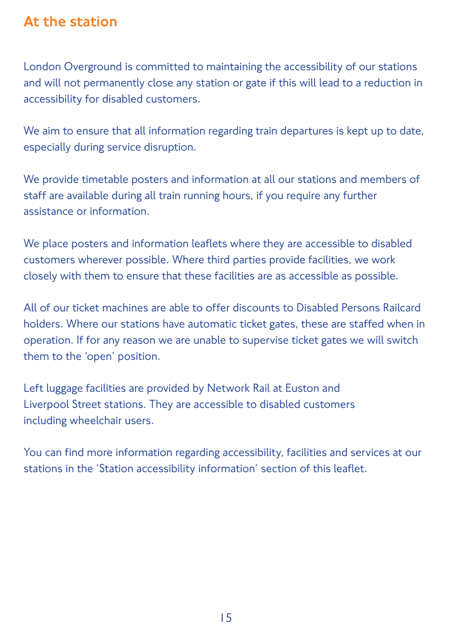#### At the station

London Overground is committed to maintaining the accessibility of our stations and will not permanently close any station or gate if this will lead to a reduction in accessibility for disabled customers.

We aim to ensure that all information regarding train departures is kept up to date, especially during service disruption.

We provide timetable posters and information at all our stations and members of staff are available during all train running hours, if you require any further assistance or information.

We place posters and information leaflets where they are accessible to disabled customers wherever possible. Where third parties provide facilities, we work closely with them to ensure that these facilities are as accessible as possible.

All of our ticket machines are able to offer discounts to Disabled Persons Railcard holders. Where our stations have automatic ticket gates, these are staffed when in operation. If for any reason we are unable to supervise ticket gates we will switch them to the 'open' position.

Left luggage facilities are provided by Network Rail at Euston and Liverpool Street stations. They are accessible to disabled customers including wheelchair users.

You can find more information regarding accessibility, facilities and services at our stations in the 'Station accessibility information' section of this leaflet.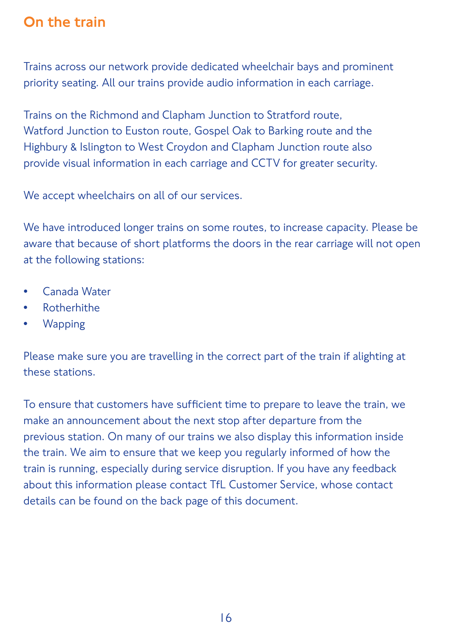#### On the train

Trains across our network provide dedicated wheelchair bays and prominent priority seating. All our trains provide audio information in each carriage.

Trains on the Richmond and Clapham Junction to Stratford route, Watford Junction to Euston route, Gospel Oak to Barking route and the Highbury & Islington to West Croydon and Clapham Junction route also provide visual information in each carriage and CCTV for greater security.

We accept wheelchairs on all of our services.

We have introduced longer trains on some routes, to increase capacity. Please be aware that because of short platforms the doors in the rear carriage will not open at the following stations:

- Canada Water
- Rotherhithe
- Wapping

Please make sure you are travelling in the correct part of the train if alighting at these stations.

To ensure that customers have sufficient time to prepare to leave the train, we make an announcement about the next stop after departure from the previous station. On many of our trains we also display this information inside the train. We aim to ensure that we keep you regularly informed of how the train is running, especially during service disruption. If you have any feedback about this information please contact TfL Customer Service, whose contact details can be found on the back page of this document.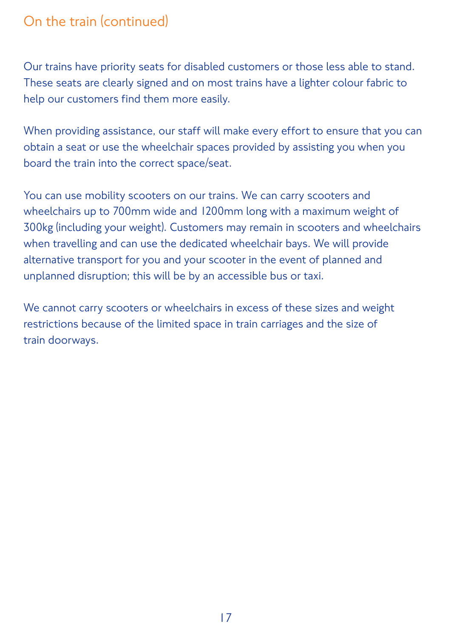#### On the train (continued)

Our trains have priority seats for disabled customers or those less able to stand. These seats are clearly signed and on most trains have a lighter colour fabric to help our customers find them more easily.

When providing assistance, our staff will make every effort to ensure that you can obtain a seat or use the wheelchair spaces provided by assisting you when you board the train into the correct space/seat.

You can use mobility scooters on our trains. We can carry scooters and wheelchairs up to 700mm wide and 1200mm long with a maximum weight of 300kg (including your weight). Customers may remain in scooters and wheelchairs when travelling and can use the dedicated wheelchair bays. We will provide alternative transport for you and your scooter in the event of planned and unplanned disruption; this will be by an accessible bus or taxi.

We cannot carry scooters or wheelchairs in excess of these sizes and weight restrictions because of the limited space in train carriages and the size of train doorways.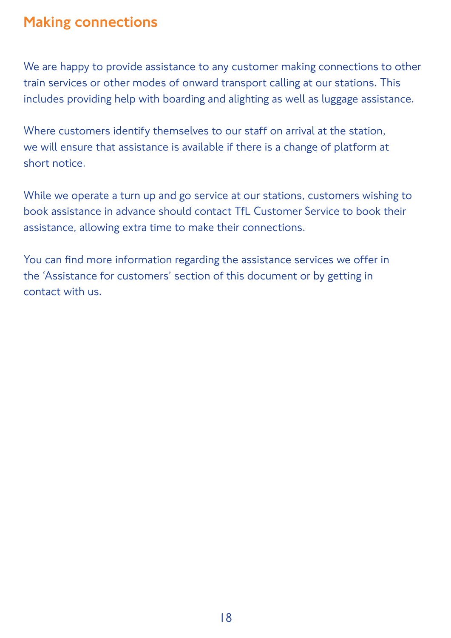#### Making connections

We are happy to provide assistance to any customer making connections to other train services or other modes of onward transport calling at our stations. This includes providing help with boarding and alighting as well as luggage assistance.

Where customers identify themselves to our staff on arrival at the station, we will ensure that assistance is available if there is a change of platform at short notice.

While we operate a turn up and go service at our stations, customers wishing to book assistance in advance should contact TfL Customer Service to book their assistance, allowing extra time to make their connections.

You can find more information regarding the assistance services we offer in the 'Assistance for customers' section of this document or by getting in contact with us.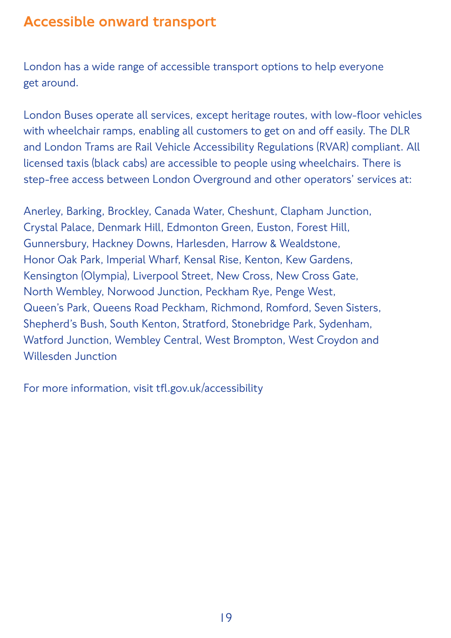#### Accessible onward transport

London has a wide range of accessible transport options to help everyone get around.

London Buses operate all services, except heritage routes, with low-floor vehicles with wheelchair ramps, enabling all customers to get on and off easily. The DLR and London Trams are Rail Vehicle Accessibility Regulations (RVAR) compliant. All licensed taxis (black cabs) are accessible to people using wheelchairs. There is step-free access between London Overground and other operators' services at:

Anerley, Barking, Brockley, Canada Water, Cheshunt, Clapham Junction, Crystal Palace, Denmark Hill, Edmonton Green, Euston, Forest Hill, Gunnersbury, Hackney Downs, Harlesden, Harrow & Wealdstone, Honor Oak Park, Imperial Wharf, Kensal Rise, Kenton, Kew Gardens, Kensington (Olympia), Liverpool Street, New Cross, New Cross Gate, North Wembley, Norwood Junction, Peckham Rye, Penge West, Queen's Park, Queens Road Peckham, Richmond, Romford, Seven Sisters, Shepherd's Bush, South Kenton, Stratford, Stonebridge Park, Sydenham, Watford Junction, Wembley Central, West Brompton, West Croydon and Willesden Junction

For more information, visit tfl.gov.uk/accessibility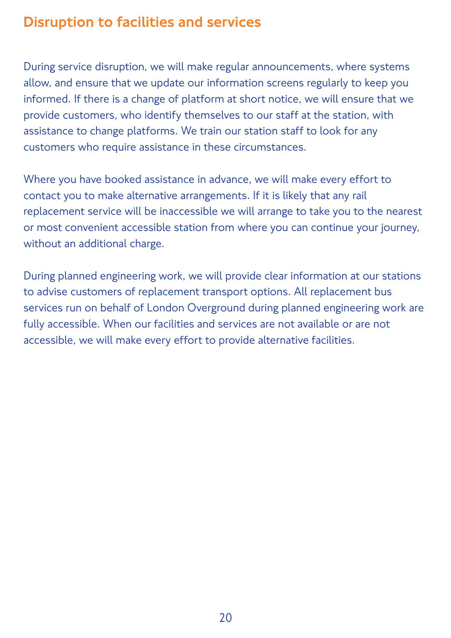#### Disruption to facilities and services

During service disruption, we will make regular announcements, where systems allow, and ensure that we update our information screens regularly to keep you informed. If there is a change of platform at short notice, we will ensure that we provide customers, who identify themselves to our staff at the station, with assistance to change platforms. We train our station staff to look for any customers who require assistance in these circumstances.

Where you have booked assistance in advance, we will make every effort to contact you to make alternative arrangements. If it is likely that any rail replacement service will be inaccessible we will arrange to take you to the nearest or most convenient accessible station from where you can continue your journey, without an additional charge.

During planned engineering work, we will provide clear information at our stations to advise customers of replacement transport options. All replacement bus services run on behalf of London Overground during planned engineering work are fully accessible. When our facilities and services are not available or are not accessible, we will make every effort to provide alternative facilities.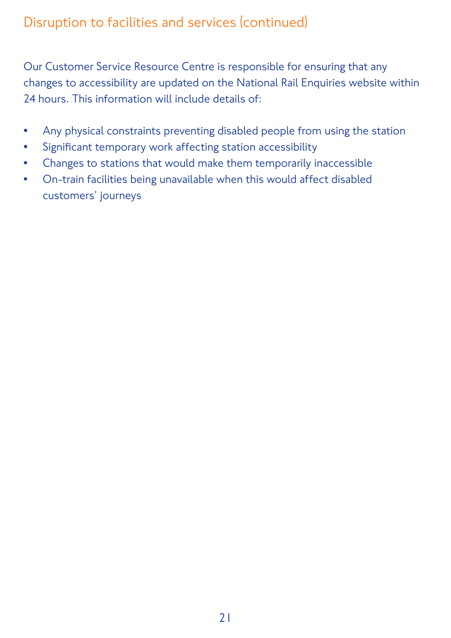Our Customer Service Resource Centre is responsible for ensuring that any changes to accessibility are updated on the National Rail Enquiries website within 24 hours. This information will include details of:

- Any physical constraints preventing disabled people from using the station
- Significant temporary work affecting station accessibility
- Changes to stations that would make them temporarily inaccessible
- On-train facilities being unavailable when this would affect disabled customers' journeys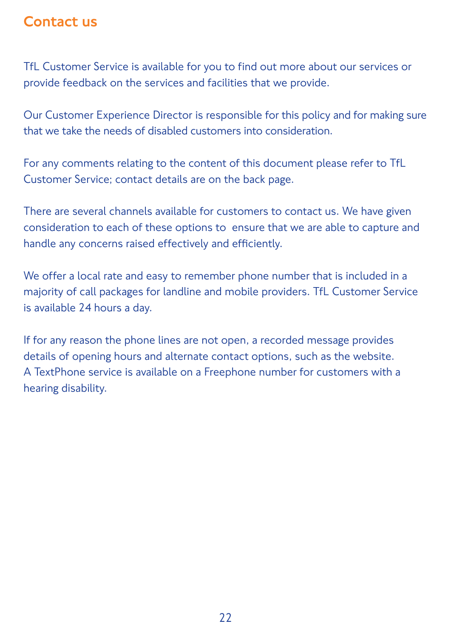#### Contact us

TfL Customer Service is available for you to find out more about our services or provide feedback on the services and facilities that we provide.

Our Customer Experience Director is responsible for this policy and for making sure that we take the needs of disabled customers into consideration.

For any comments relating to the content of this document please refer to TfL Customer Service; contact details are on the back page.

There are several channels available for customers to contact us. We have given consideration to each of these options to ensure that we are able to capture and handle any concerns raised effectively and efficiently.

We offer a local rate and easy to remember phone number that is included in a majority of call packages for landline and mobile providers. TfL Customer Service is available 24 hours a day.

If for any reason the phone lines are not open, a recorded message provides details of opening hours and alternate contact options, such as the website. A TextPhone service is available on a Freephone number for customers with a hearing disability.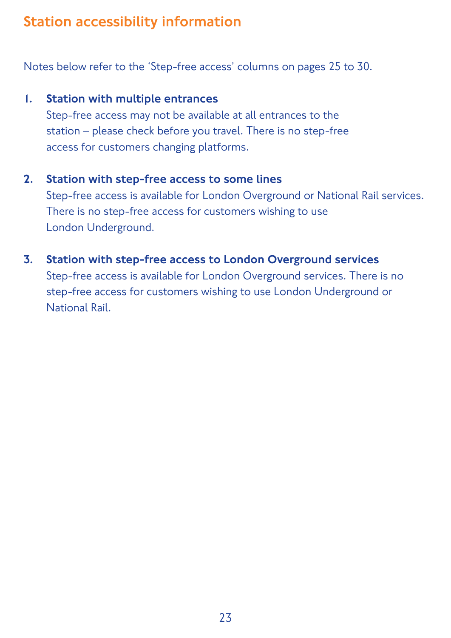## Station accessibility information

Notes below refer to the 'Step-free access' columns on pages 25 to 30.

#### 1. Station with multiple entrances

Step-free access may not be available at all entrances to the station – please check before you travel. There is no step-free access for customers changing platforms.

#### 2. Station with step-free access to some lines

Step-free access is available for London Overground or National Rail services. There is no step-free access for customers wishing to use London Underground.

3. Station with step-free access to London Overground services Step-free access is available for London Overground services. There is no step-free access for customers wishing to use London Underground or National Rail.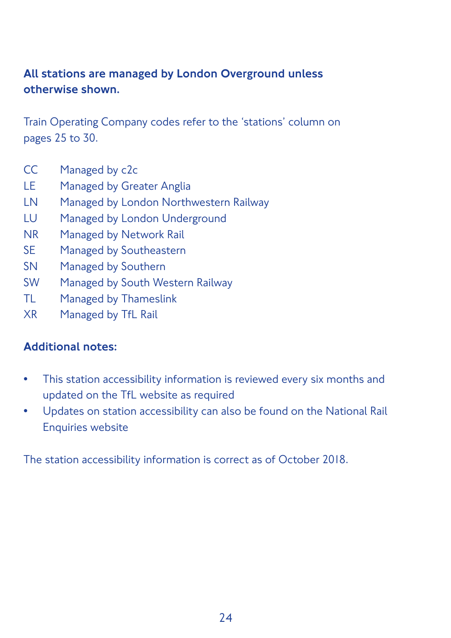#### All stations are managed by London Overground unless otherwise shown.

Train Operating Company codes refer to the 'stations' column on pages 25 to 30.

- CC Managed by c2c
- LE Managed by Greater Anglia
- LN Managed by London Northwestern Railway
- LU Managed by London Underground
- NR Managed by Network Rail
- SE Managed by Southeastern
- SN Managed by Southern
- SW Managed by South Western Railway
- TL Managed by Thameslink
- XR Managed by TfL Rail

#### Additional notes:

- This station accessibility information is reviewed every six months and updated on the TfL website as required
- Updates on station accessibility can also be found on the National Rail Enquiries website

The station accessibility information is correct as of October 2018.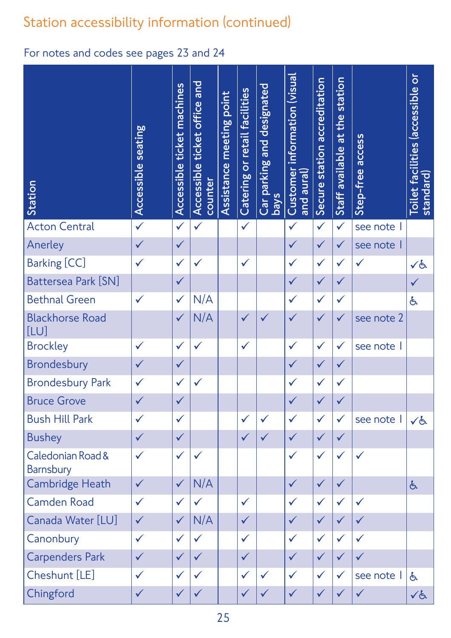| Station                        | <b>Accessible seating</b> | ticket machines<br>Accessible | Accessible ticket office and<br>counter | meeting point<br>Assistance | or retail facilities<br>Catering | Car parking and designated<br><b>s</b> | information (visual<br>Customer<br>and aural) | Secure station accreditation | station<br>at the<br>Staff available | access<br>Step-free | $\overline{\mathsf{o}}$<br>Toilet facilities (accessible<br>standard) |
|--------------------------------|---------------------------|-------------------------------|-----------------------------------------|-----------------------------|----------------------------------|----------------------------------------|-----------------------------------------------|------------------------------|--------------------------------------|---------------------|-----------------------------------------------------------------------|
| <b>Acton Central</b>           | $\checkmark$              | $\checkmark$                  | $\checkmark$                            |                             | $\checkmark$                     |                                        | $\checkmark$                                  | $\checkmark$                 | $\checkmark$                         | see note            |                                                                       |
| Anerley                        | $\checkmark$              | $\checkmark$                  |                                         |                             |                                  |                                        | $\checkmark$                                  | $\checkmark$                 | $\checkmark$                         | see note            |                                                                       |
| <b>Barking [CC]</b>            | $\checkmark$              | $\checkmark$                  |                                         |                             | $\checkmark$                     |                                        | $\checkmark$                                  | $\checkmark$                 | $\checkmark$                         | $\checkmark$        | くと                                                                    |
| <b>Battersea Park [SN]</b>     |                           | $\checkmark$                  |                                         |                             |                                  |                                        | $\checkmark$                                  | $\checkmark$                 | $\checkmark$                         |                     |                                                                       |
| <b>Bethnal Green</b>           | $\checkmark$              | $\checkmark$                  | N/A                                     |                             |                                  |                                        | $\checkmark$                                  | $\checkmark$                 | $\checkmark$                         |                     | 占                                                                     |
| <b>Blackhorse Road</b><br>[LU] |                           | $\checkmark$                  | N/A                                     |                             | $\checkmark$                     |                                        | $\checkmark$                                  | $\checkmark$                 | $\checkmark$                         | see note 2          |                                                                       |
| <b>Brockley</b>                | $\checkmark$              | $\checkmark$                  |                                         |                             | $\checkmark$                     |                                        | $\checkmark$                                  | $\checkmark$                 | $\checkmark$                         | see note            |                                                                       |
| <b>Brondesbury</b>             | $\checkmark$              | $\checkmark$                  |                                         |                             |                                  |                                        | $\checkmark$                                  | $\checkmark$                 | $\checkmark$                         |                     |                                                                       |
| <b>Brondesbury Park</b>        | $\checkmark$              | $\checkmark$                  |                                         |                             |                                  |                                        | $\checkmark$                                  | $\checkmark$                 | $\checkmark$                         |                     |                                                                       |
| <b>Bruce Grove</b>             |                           | $\checkmark$                  |                                         |                             |                                  |                                        |                                               | $\checkmark$                 |                                      |                     |                                                                       |
| <b>Bush Hill Park</b>          | $\checkmark$              | $\checkmark$                  |                                         |                             | $\checkmark$                     | $\checkmark$                           | $\checkmark$                                  | $\checkmark$                 | $\checkmark$                         | see note            | ✓占                                                                    |
| <b>Bushey</b>                  | $\checkmark$              | $\checkmark$                  |                                         |                             | $\checkmark$                     | $\checkmark$                           | $\checkmark$                                  | $\checkmark$                 | $\checkmark$                         |                     |                                                                       |
| Caledonian Road &<br>Barnsbury | $\checkmark$              | $\checkmark$                  | $\checkmark$                            |                             |                                  |                                        | $\checkmark$                                  | $\checkmark$                 | $\checkmark$                         | $\checkmark$        |                                                                       |
| <b>Cambridge Heath</b>         | $\checkmark$              | $\checkmark$                  | N/A                                     |                             |                                  |                                        | $\checkmark$                                  | $\checkmark$                 | $\checkmark$                         |                     | 占                                                                     |
| <b>Camden Road</b>             | $\checkmark$              | $\checkmark$                  | $\checkmark$                            |                             | $\checkmark$                     |                                        | $\checkmark$                                  | $\checkmark$                 | $\checkmark$                         | $\checkmark$        |                                                                       |
| Canada Water [LU]              | $\checkmark$              | $\checkmark$                  | N/A                                     |                             | $\checkmark$                     |                                        | $\checkmark$                                  | $\checkmark$                 | $\checkmark$                         | $\checkmark$        |                                                                       |
| Canonbury                      | $\checkmark$              | $\checkmark$                  | $\checkmark$                            |                             | $\checkmark$                     |                                        | $\checkmark$                                  | $\checkmark$                 | $\checkmark$                         | $\checkmark$        |                                                                       |
| <b>Carpenders Park</b>         | $\checkmark$              | $\checkmark$                  | $\checkmark$                            |                             | $\checkmark$                     |                                        | $\checkmark$                                  | $\checkmark$                 | $\checkmark$                         | $\checkmark$        |                                                                       |
| Cheshunt [LE]                  | $\checkmark$              | $\checkmark$                  | $\checkmark$                            |                             | $\checkmark$                     | $\checkmark$                           | $\checkmark$                                  | $\checkmark$                 | $\checkmark$                         | see note            | 占                                                                     |
| Chingford                      | $\checkmark$              | $\checkmark$                  | $\checkmark$                            |                             | $\checkmark$                     | $\checkmark$                           | $\checkmark$                                  | $\checkmark$                 | $\checkmark$                         | $\checkmark$        | √と                                                                    |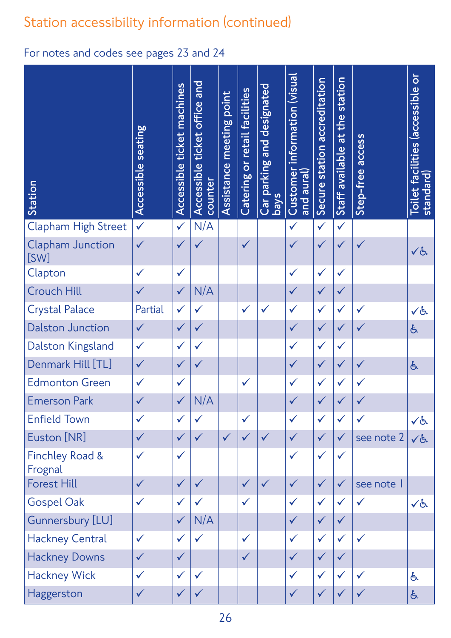| Station                               | <b>Accessible seating</b> | ticket machines<br>Accessible | Accessible ticket office and<br>counter | meeting point<br>Assistance | or retail facilities<br>Catering | parking and designated<br><b>SVeq</b><br>Car | information (visual<br>Customer<br>and $\overline{\mathsf{aural}}$ | Secure station accreditation | station<br>at the<br>Staff available | access<br>Step-free | $\overline{0}$<br>Toilet facilities (accessible<br>standard) |
|---------------------------------------|---------------------------|-------------------------------|-----------------------------------------|-----------------------------|----------------------------------|----------------------------------------------|--------------------------------------------------------------------|------------------------------|--------------------------------------|---------------------|--------------------------------------------------------------|
| <b>Clapham High Street</b>            | $\checkmark$              | $\checkmark$                  | N/A                                     |                             |                                  |                                              | $\checkmark$                                                       | $\checkmark$                 | $\checkmark$                         |                     |                                                              |
| <b>Clapham Junction</b><br>[SW]       | $\checkmark$              | $\checkmark$                  |                                         |                             | $\checkmark$                     |                                              | $\sqrt{}$                                                          | $\checkmark$                 | $\checkmark$                         | $\checkmark$        | くと                                                           |
| Clapton                               | $\checkmark$              | $\checkmark$                  |                                         |                             |                                  |                                              | $\checkmark$                                                       | $\checkmark$                 | $\checkmark$                         |                     |                                                              |
| <b>Crouch Hill</b>                    | $\checkmark$              | $\checkmark$                  | N/A                                     |                             |                                  |                                              | $\checkmark$                                                       | $\checkmark$                 | $\checkmark$                         |                     |                                                              |
| <b>Crystal Palace</b>                 | Partial                   | $\checkmark$                  | $\checkmark$                            |                             | $\checkmark$                     | $\checkmark$                                 | $\checkmark$                                                       | $\checkmark$                 | $\checkmark$                         | $\checkmark$        | くと                                                           |
| <b>Dalston Junction</b>               | $\checkmark$              | $\checkmark$                  | $\checkmark$                            |                             |                                  |                                              | $\checkmark$                                                       | $\checkmark$                 | $\checkmark$                         | $\checkmark$        | 占                                                            |
| Dalston Kingsland                     | $\checkmark$              | $\checkmark$                  | $\checkmark$                            |                             |                                  |                                              | $\checkmark$                                                       | $\checkmark$                 | $\checkmark$                         |                     |                                                              |
| Denmark Hill [TL]                     | $\checkmark$              | $\checkmark$                  | $\checkmark$                            |                             |                                  |                                              | $\checkmark$                                                       | $\checkmark$                 | $\checkmark$                         | $\checkmark$        | 占                                                            |
| <b>Edmonton Green</b>                 | $\checkmark$              | $\checkmark$                  |                                         |                             | $\checkmark$                     |                                              | $\checkmark$                                                       | $\checkmark$                 | $\checkmark$                         |                     |                                                              |
| <b>Emerson Park</b>                   | $\checkmark$              | $\checkmark$                  | N/A                                     |                             |                                  |                                              | $\checkmark$                                                       | $\checkmark$                 | $\checkmark$                         | $\checkmark$        |                                                              |
| <b>Enfield Town</b>                   | $\checkmark$              | $\checkmark$                  | $\checkmark$                            |                             | $\checkmark$                     |                                              | $\checkmark$                                                       | $\checkmark$                 | $\checkmark$                         | $\checkmark$        | くと                                                           |
| Euston [NR]                           | $\checkmark$              | $\checkmark$                  | $\checkmark$                            | $\checkmark$                | $\checkmark$                     | $\checkmark$                                 | $\checkmark$                                                       | $\checkmark$                 | $\checkmark$                         | see note 2          | $\checkmark$                                                 |
| <b>Finchley Road &amp;</b><br>Frognal | $\checkmark$              | $\checkmark$                  |                                         |                             |                                  |                                              | $\checkmark$                                                       | $\checkmark$                 | $\checkmark$                         |                     |                                                              |
| <b>Forest Hill</b>                    | $\checkmark$              | $\checkmark$                  | $\checkmark$                            |                             | $\checkmark$                     | $\checkmark$                                 | $\checkmark$                                                       | $\checkmark$                 | $\checkmark$                         | see note            |                                                              |
| <b>Gospel Oak</b>                     | $\checkmark$              | $\checkmark$                  | $\checkmark$                            |                             | $\checkmark$                     |                                              | $\checkmark$                                                       | $\checkmark$                 | $\checkmark$                         | $\checkmark$        | ✓よ                                                           |
| Gunnersbury [LU]                      |                           | $\checkmark$                  | N/A                                     |                             |                                  |                                              | $\checkmark$                                                       | $\checkmark$                 | $\checkmark$                         |                     |                                                              |
| <b>Hackney Central</b>                | $\checkmark$              | $\checkmark$                  | $\checkmark$                            |                             | $\checkmark$                     |                                              | $\checkmark$                                                       | $\checkmark$                 | $\checkmark$                         | $\checkmark$        |                                                              |
| <b>Hackney Downs</b>                  | $\checkmark$              | $\checkmark$                  |                                         |                             | $\checkmark$                     |                                              | $\checkmark$                                                       | $\checkmark$                 | $\checkmark$                         |                     |                                                              |
| <b>Hackney Wick</b>                   | $\checkmark$              | $\checkmark$                  | $\checkmark$                            |                             |                                  |                                              | $\checkmark$                                                       | $\checkmark$                 | $\checkmark$                         | $\checkmark$        | 占                                                            |
| Haggerston                            | $\checkmark$              | $\checkmark$                  | $\checkmark$                            |                             |                                  |                                              | $\checkmark$                                                       | $\checkmark$                 | $\checkmark$                         |                     | 占                                                            |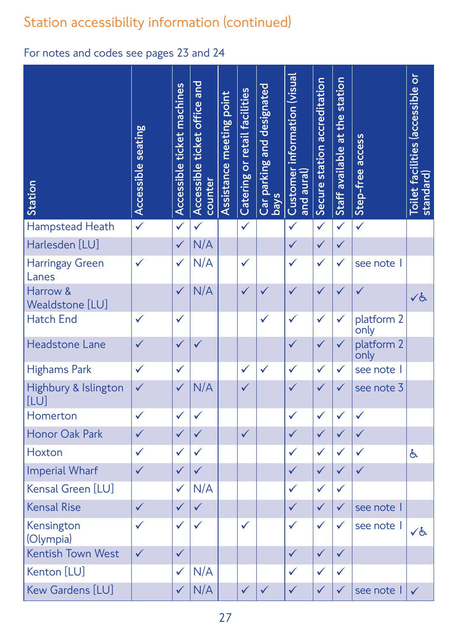| Station                      | seating<br>Accessible | ticket machines<br>Accessible | Accessible ticket office and<br>counter | meeting point<br>Assistance | or retail facilities<br>Catering | Car parking and designated<br><b>SVeq</b> | information (visual<br>Customer i<br>and aural) | Secure station accreditation | at the station<br>Staff available | Step-free access   | $\overline{\mathsf{o}}$<br>Toilet facilities (accessible<br>standard) |
|------------------------------|-----------------------|-------------------------------|-----------------------------------------|-----------------------------|----------------------------------|-------------------------------------------|-------------------------------------------------|------------------------------|-----------------------------------|--------------------|-----------------------------------------------------------------------|
| Hampstead Heath              | $\checkmark$          | $\checkmark$                  | $\checkmark$                            |                             | $\checkmark$                     |                                           | $\checkmark$                                    | $\checkmark$                 | $\checkmark$                      | $\checkmark$       |                                                                       |
| Harlesden [LU]               |                       | $\checkmark$                  | N/A                                     |                             |                                  |                                           | $\checkmark$                                    | $\checkmark$                 | $\checkmark$                      |                    |                                                                       |
| Harringay Green<br>Lanes     | $\checkmark$          | $\checkmark$                  | N/A                                     |                             | $\checkmark$                     |                                           | $\checkmark$                                    | $\checkmark$                 | $\checkmark$                      | see note           |                                                                       |
| Harrow &<br>Wealdstone [LU]  |                       | $\checkmark$                  | N/A                                     |                             | $\checkmark$                     | $\checkmark$                              | $\sqrt{}$                                       | $\checkmark$                 | $\sqrt{}$                         |                    | くと                                                                    |
| <b>Hatch End</b>             | $\checkmark$          | $\checkmark$                  |                                         |                             |                                  | $\checkmark$                              | $\checkmark$                                    | $\checkmark$                 | $\checkmark$                      | platform 2<br>only |                                                                       |
| Headstone Lane               | $\checkmark$          | $\checkmark$                  | $\checkmark$                            |                             |                                  |                                           | $\checkmark$                                    | $\checkmark$                 | $\checkmark$                      | platform 2<br>only |                                                                       |
| <b>Highams Park</b>          | $\checkmark$          | $\checkmark$                  |                                         |                             | $\checkmark$                     | $\checkmark$                              | $\checkmark$                                    | $\checkmark$                 | $\checkmark$                      | see note           |                                                                       |
| Highbury & Islington<br>[LU] | $\checkmark$          | $\checkmark$                  | N/A                                     |                             | $\checkmark$                     |                                           | $\checkmark$                                    | $\checkmark$                 | $\checkmark$                      | see note 3         |                                                                       |
| Homerton                     | $\checkmark$          | $\checkmark$                  |                                         |                             |                                  |                                           | $\checkmark$                                    | $\checkmark$                 | $\checkmark$                      | $\checkmark$       |                                                                       |
| <b>Honor Oak Park</b>        | $\checkmark$          | $\checkmark$                  | $\checkmark$                            |                             | $\checkmark$                     |                                           | $\checkmark$                                    | $\checkmark$                 | $\checkmark$                      | $\checkmark$       |                                                                       |
| Hoxton                       | $\checkmark$          | $\checkmark$                  | $\checkmark$                            |                             |                                  |                                           | $\checkmark$                                    | $\checkmark$                 | $\checkmark$                      | $\checkmark$       | 占                                                                     |
| <b>Imperial Wharf</b>        | $\checkmark$          | $\checkmark$                  | $\checkmark$                            |                             |                                  |                                           | $\checkmark$                                    | $\checkmark$                 | $\checkmark$                      | $\checkmark$       |                                                                       |
| Kensal Green [LU]            |                       | $\checkmark$                  | N/A                                     |                             |                                  |                                           | $\checkmark$                                    | $\checkmark$                 | $\checkmark$                      |                    |                                                                       |
| <b>Kensal Rise</b>           | $\checkmark$          | $\checkmark$                  | $\checkmark$                            |                             |                                  |                                           | $\checkmark$                                    | $\checkmark$                 | $\checkmark$                      | see note           |                                                                       |
| Kensington<br>(Olympia)      | $\checkmark$          | $\checkmark$                  | $\checkmark$                            |                             | $\checkmark$                     |                                           | $\checkmark$                                    | $\checkmark$                 | $\checkmark$                      | see note           | くと                                                                    |
| <b>Kentish Town West</b>     | $\checkmark$          | $\checkmark$                  |                                         |                             |                                  |                                           | $\checkmark$                                    | $\checkmark$                 | $\checkmark$                      |                    |                                                                       |
| Kenton [LU]                  |                       | $\checkmark$                  | N/A                                     |                             |                                  |                                           | $\checkmark$                                    | $\checkmark$                 | $\checkmark$                      |                    |                                                                       |
| Kew Gardens [LU]             |                       | $\checkmark$                  | N/A                                     |                             | $\checkmark$                     | $\checkmark$                              | $\checkmark$                                    | $\checkmark$                 | $\checkmark$                      | see note           | $\checkmark$                                                          |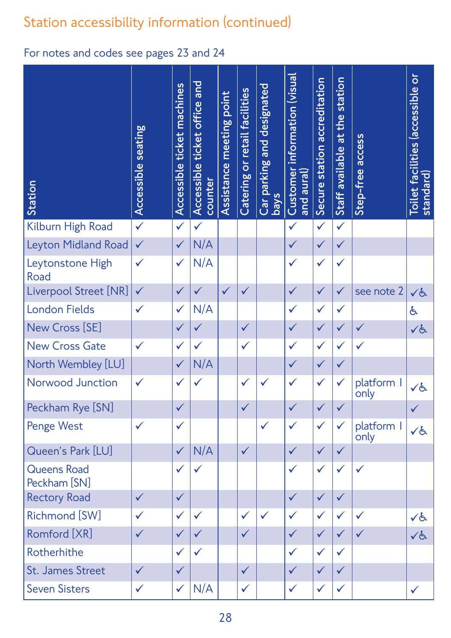| Station                            | <b>Accessible seating</b> | Accessible ticket machines | ticket office and<br>Accessible<br>counter | point<br>meeting<br>Assistance | Catering or retail facilities | Car parking and designated<br><b>SVEQ</b> | information (visual<br>Customer<br>and aural) | Secure station accreditation | station<br>the<br>$\frac{1}{6}$<br>available<br>Staff | access<br>Step-free | $\overline{\mathsf{o}}$<br>Toilet facilities (accessible<br>standard) |
|------------------------------------|---------------------------|----------------------------|--------------------------------------------|--------------------------------|-------------------------------|-------------------------------------------|-----------------------------------------------|------------------------------|-------------------------------------------------------|---------------------|-----------------------------------------------------------------------|
| Kilburn High Road                  | $\checkmark$              | $\checkmark$               | $\checkmark$                               |                                |                               |                                           | $\checkmark$                                  | $\checkmark$                 | $\checkmark$                                          |                     |                                                                       |
| Leyton Midland Road                | $\checkmark$              | $\checkmark$               | N/A                                        |                                |                               |                                           | $\checkmark$                                  | $\checkmark$                 | $\checkmark$                                          |                     |                                                                       |
| Leytonstone High<br>Road           | $\checkmark$              | $\checkmark$               | N/A                                        |                                |                               |                                           | $\checkmark$                                  | $\checkmark$                 | $\checkmark$                                          |                     |                                                                       |
| Liverpool Street [NR]              | $\checkmark$              | $\checkmark$               | $\checkmark$                               | $\checkmark$                   | $\checkmark$                  |                                           | $\checkmark$                                  | $\checkmark$                 | $\checkmark$                                          | see note 2          | くと                                                                    |
| <b>London Fields</b>               | $\checkmark$              | $\checkmark$               | N/A                                        |                                |                               |                                           | $\checkmark$                                  | $\checkmark$                 | $\checkmark$                                          |                     | 占                                                                     |
| New Cross [SE]                     |                           | $\checkmark$               | $\checkmark$                               |                                | $\checkmark$                  |                                           | $\checkmark$                                  | $\checkmark$                 | $\checkmark$                                          | $\checkmark$        | くと                                                                    |
| <b>New Cross Gate</b>              | $\checkmark$              | $\checkmark$               | $\checkmark$                               |                                | $\checkmark$                  |                                           | $\checkmark$                                  | $\checkmark$                 | $\checkmark$                                          | $\checkmark$        |                                                                       |
| North Wembley [LU]                 |                           | $\checkmark$               | N/A                                        |                                |                               |                                           | $\checkmark$                                  | $\checkmark$                 | $\checkmark$                                          |                     |                                                                       |
| Norwood Junction                   | $\checkmark$              | $\checkmark$               | $\checkmark$                               |                                | $\checkmark$                  | $\checkmark$                              | $\checkmark$                                  | $\checkmark$                 | $\checkmark$                                          | platform I<br>only  | くと                                                                    |
| Peckham Rye [SN]                   |                           | $\checkmark$               |                                            |                                | $\checkmark$                  |                                           | $\checkmark$                                  | $\checkmark$                 | $\checkmark$                                          |                     | $\checkmark$                                                          |
| Penge West                         | $\checkmark$              | $\checkmark$               |                                            |                                |                               | $\checkmark$                              | $\checkmark$                                  | $\checkmark$                 | $\checkmark$                                          | platform I<br>only  | ✓よ                                                                    |
| Queen's Park [LU]                  |                           | $\checkmark$               | N/A                                        |                                | $\checkmark$                  |                                           | $\checkmark$                                  | $\checkmark$                 | $\checkmark$                                          |                     |                                                                       |
| <b>Queens Road</b><br>Peckham [SN] |                           | $\checkmark$               | $\checkmark$                               |                                |                               |                                           | $\checkmark$                                  | $\checkmark$                 | $\checkmark$                                          | $\checkmark$        |                                                                       |
| <b>Rectory Road</b>                | $\checkmark$              | $\checkmark$               |                                            |                                |                               |                                           | $\checkmark$                                  | $\checkmark$                 | $\checkmark$                                          |                     |                                                                       |
| Richmond [SW]                      | $\checkmark$              | $\checkmark$               | $\checkmark$                               |                                | $\checkmark$                  | $\checkmark$                              | $\checkmark$                                  | $\checkmark$                 | $\checkmark$                                          | $\checkmark$        | くと                                                                    |
| Romford [XR]                       | $\checkmark$              | $\checkmark$               | $\checkmark$                               |                                | $\checkmark$                  |                                           | $\checkmark$                                  | $\checkmark$                 | $\checkmark$                                          | $\checkmark$        | 人と                                                                    |
| Rotherhithe                        |                           | $\checkmark$               | $\checkmark$                               |                                |                               |                                           | $\checkmark$                                  | $\checkmark$                 | $\checkmark$                                          |                     |                                                                       |
| St. James Street                   | $\checkmark$              | $\checkmark$               |                                            |                                | $\checkmark$                  |                                           | $\checkmark$                                  | $\checkmark$                 | $\checkmark$                                          |                     |                                                                       |
| <b>Seven Sisters</b>               | $\checkmark$              | $\checkmark$               | N/A                                        |                                | $\checkmark$                  |                                           | $\checkmark$                                  | $\checkmark$                 | $\checkmark$                                          |                     | $\checkmark$                                                          |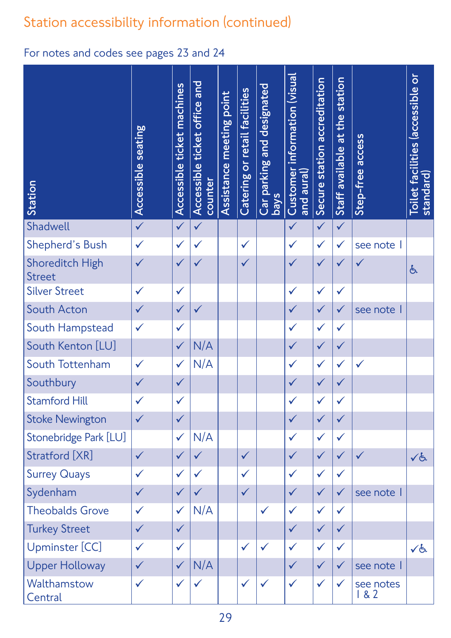| Station                                 | <b>Accessible seating</b> | ticket machines<br>Accessible | Accessible ticket office and<br>counter | meeting point<br>Assistance | or retail facilities<br>Catering | Car parking and designated<br><b>SVeq</b> | information (visual<br>Customer i<br>and aural) | Secure station accreditation | at the station<br>Staff available | access<br>Step-free | $\overline{a}$<br>Toilet facilities (accessible<br>standard) |
|-----------------------------------------|---------------------------|-------------------------------|-----------------------------------------|-----------------------------|----------------------------------|-------------------------------------------|-------------------------------------------------|------------------------------|-----------------------------------|---------------------|--------------------------------------------------------------|
| Shadwell                                | $\checkmark$              | $\checkmark$                  | $\checkmark$                            |                             |                                  |                                           | $\checkmark$                                    | $\checkmark$                 | $\checkmark$                      |                     |                                                              |
| Shepherd's Bush                         | $\checkmark$              | $\checkmark$                  | $\checkmark$                            |                             | $\checkmark$                     |                                           | $\checkmark$                                    | $\checkmark$                 | $\checkmark$                      | see note            |                                                              |
| <b>Shoreditch High</b><br><b>Street</b> | $\checkmark$              | $\checkmark$                  |                                         |                             | $\checkmark$                     |                                           | $\checkmark$                                    | $\checkmark$                 | $\checkmark$                      |                     | 占                                                            |
| <b>Silver Street</b>                    | $\checkmark$              | $\checkmark$                  |                                         |                             |                                  |                                           | $\checkmark$                                    | $\checkmark$                 | $\checkmark$                      |                     |                                                              |
| South Acton                             | $\checkmark$              | $\checkmark$                  | $\checkmark$                            |                             |                                  |                                           | $\checkmark$                                    | $\checkmark$                 | $\checkmark$                      | see note            |                                                              |
| South Hampstead                         | $\checkmark$              | $\checkmark$                  |                                         |                             |                                  |                                           | $\checkmark$                                    | $\checkmark$                 | $\checkmark$                      |                     |                                                              |
| South Kenton [LU]                       |                           | $\checkmark$                  | N/A                                     |                             |                                  |                                           | $\checkmark$                                    | $\checkmark$                 | $\checkmark$                      |                     |                                                              |
| South Tottenham                         | $\checkmark$              | $\checkmark$                  | N/A                                     |                             |                                  |                                           | $\checkmark$                                    | $\checkmark$                 | $\checkmark$                      | $\checkmark$        |                                                              |
| Southbury                               | $\checkmark$              | $\checkmark$                  |                                         |                             |                                  |                                           | $\checkmark$                                    | $\checkmark$                 | $\checkmark$                      |                     |                                                              |
| <b>Stamford Hill</b>                    | $\checkmark$              | $\checkmark$                  |                                         |                             |                                  |                                           | $\checkmark$                                    | $\checkmark$                 | $\checkmark$                      |                     |                                                              |
| <b>Stoke Newington</b>                  | $\checkmark$              | $\checkmark$                  |                                         |                             |                                  |                                           | $\checkmark$                                    | $\checkmark$                 | $\checkmark$                      |                     |                                                              |
| Stonebridge Park [LU]                   |                           | $\checkmark$                  | N/A                                     |                             |                                  |                                           | $\checkmark$                                    | $\checkmark$                 | $\checkmark$                      |                     |                                                              |
| Stratford [XR]                          | $\checkmark$              | $\checkmark$                  | $\checkmark$                            |                             | $\checkmark$                     |                                           | $\checkmark$                                    | $\checkmark$                 | $\checkmark$                      | $\checkmark$        | VG                                                           |
| <b>Surrey Quays</b>                     | $\checkmark$              | $\checkmark$                  | $\checkmark$                            |                             | $\checkmark$                     |                                           | $\checkmark$                                    | $\checkmark$                 | $\checkmark$                      |                     |                                                              |
| Sydenham                                | $\checkmark$              | $\checkmark$                  | $\checkmark$                            |                             | $\checkmark$                     |                                           | $\checkmark$                                    | $\checkmark$                 | $\checkmark$                      | see note            |                                                              |
| <b>Theobalds Grove</b>                  | $\checkmark$              | $\checkmark$                  | N/A                                     |                             |                                  | $\checkmark$                              | $\checkmark$                                    | $\checkmark$                 | $\checkmark$                      |                     |                                                              |
| <b>Turkey Street</b>                    | $\checkmark$              | $\checkmark$                  |                                         |                             |                                  |                                           | $\checkmark$                                    | $\checkmark$                 | $\checkmark$                      |                     |                                                              |
| Upminster [CC]                          | $\checkmark$              | $\checkmark$                  |                                         |                             | $\checkmark$                     | $\checkmark$                              | $\checkmark$                                    | $\checkmark$                 | $\checkmark$                      |                     | $\sqrt{6}$                                                   |
| <b>Upper Holloway</b>                   | $\checkmark$              | $\checkmark$                  | N/A                                     |                             |                                  |                                           | $\checkmark$                                    | $\checkmark$                 | $\checkmark$                      | see note            |                                                              |
| Walthamstow<br>Central                  | $\checkmark$              | $\checkmark$                  | $\checkmark$                            |                             | $\checkmark$                     | $\checkmark$                              | $\checkmark$                                    | $\checkmark$                 | $\checkmark$                      | see notes<br>182    |                                                              |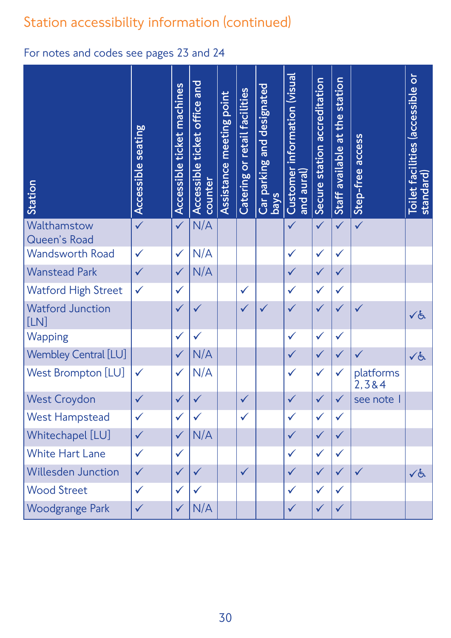| Station                         | seating<br>Accessible | ticket machines<br>Accessible | ticket office and<br>Accessible<br>counter | meeting point<br>Assistance | Catering or retail facilities | Car parking and designated<br><b>s</b> | information (visual<br>Customer<br>(Je <i>n</i> d aural) | Secure station accreditation | station<br>at the<br>Staff available | access<br>Step-free | $\overline{0}$<br>Toilet facilities (accessible<br>standard) |
|---------------------------------|-----------------------|-------------------------------|--------------------------------------------|-----------------------------|-------------------------------|----------------------------------------|----------------------------------------------------------|------------------------------|--------------------------------------|---------------------|--------------------------------------------------------------|
| Walthamstow<br>Queen's Road     | $\checkmark$          | $\checkmark$                  | N/A                                        |                             |                               |                                        | $\sqrt{}$                                                | $\checkmark$                 | $\sqrt{}$                            | $\checkmark$        |                                                              |
| <b>Wandsworth Road</b>          | $\checkmark$          | $\checkmark$                  | N/A                                        |                             |                               |                                        | $\checkmark$                                             | $\checkmark$                 | $\checkmark$                         |                     |                                                              |
| <b>Wanstead Park</b>            | $\checkmark$          | $\checkmark$                  | N/A                                        |                             |                               |                                        | $\checkmark$                                             | $\checkmark$                 | $\checkmark$                         |                     |                                                              |
| <b>Watford High Street</b>      | $\checkmark$          | $\checkmark$                  |                                            |                             | $\checkmark$                  |                                        | $\checkmark$                                             | $\checkmark$                 | $\checkmark$                         |                     |                                                              |
| <b>Watford Junction</b><br>[LN] |                       | $\checkmark$                  |                                            |                             | $\checkmark$                  | $\sqrt{}$                              | $\sqrt{}$                                                | $\checkmark$                 | $\sqrt{}$                            |                     | くと                                                           |
| Wapping                         |                       | $\checkmark$                  |                                            |                             |                               |                                        | $\checkmark$                                             | $\checkmark$                 | $\checkmark$                         |                     |                                                              |
| Wembley Central [LU]            |                       | $\checkmark$                  | N/A                                        |                             |                               |                                        | $\checkmark$                                             | $\checkmark$                 | $\checkmark$                         | $\checkmark$        | 人气                                                           |
| <b>West Brompton [LU]</b>       | $\checkmark$          | $\checkmark$                  | N/A                                        |                             |                               |                                        | $\checkmark$                                             | $\checkmark$                 | $\checkmark$                         | platforms<br>2,3&4  |                                                              |
| <b>West Croydon</b>             | $\checkmark$          | $\checkmark$                  |                                            |                             | $\checkmark$                  |                                        |                                                          | $\checkmark$                 | $\checkmark$                         | see note            |                                                              |
| <b>West Hampstead</b>           | $\checkmark$          | $\checkmark$                  | $\checkmark$                               |                             | $\checkmark$                  |                                        | $\checkmark$                                             | $\checkmark$                 | $\checkmark$                         |                     |                                                              |
| Whitechapel [LU]                | $\checkmark$          | $\checkmark$                  | N/A                                        |                             |                               |                                        | $\checkmark$                                             | $\checkmark$                 | $\checkmark$                         |                     |                                                              |
| <b>White Hart Lane</b>          | $\checkmark$          | $\checkmark$                  |                                            |                             |                               |                                        | $\checkmark$                                             | $\checkmark$                 | $\checkmark$                         |                     |                                                              |
| <b>Willesden Junction</b>       | $\checkmark$          | $\checkmark$                  | $\checkmark$                               |                             | $\checkmark$                  |                                        | $\checkmark$                                             | $\checkmark$                 | $\checkmark$                         | $\checkmark$        | ✓よ                                                           |
| <b>Wood Street</b>              | $\checkmark$          | $\checkmark$                  | $\checkmark$                               |                             |                               |                                        | $\checkmark$                                             | $\checkmark$                 | $\checkmark$                         |                     |                                                              |
| <b>Woodgrange Park</b>          | $\checkmark$          | $\checkmark$                  | N/A                                        |                             |                               |                                        | $\checkmark$                                             | $\checkmark$                 | $\checkmark$                         |                     |                                                              |